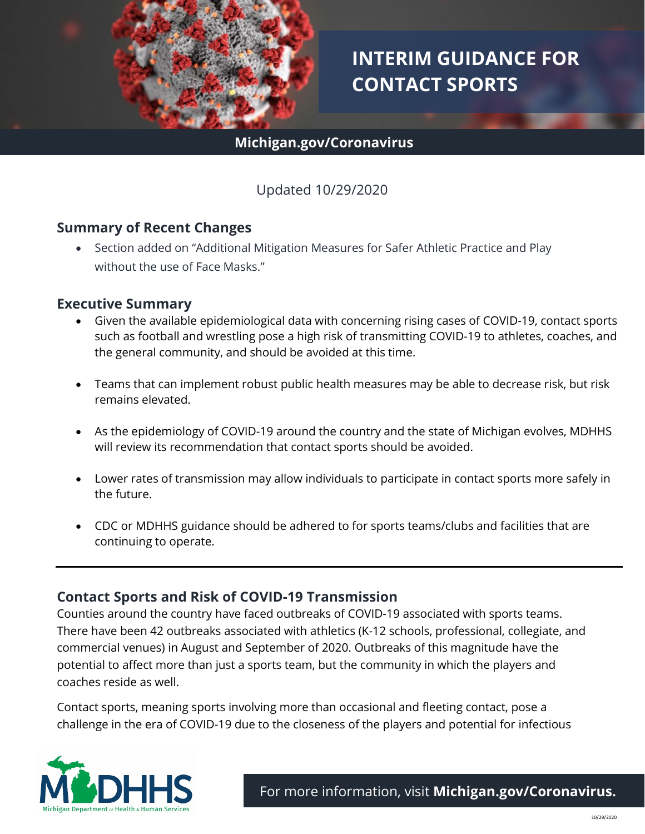

# **INTERIM GUIDANCE FOR CONTACT SPORTS**

## **Michigan.gov/Coronavirus**

## Updated 10/29/2020

#### **Summary of Recent Changes**

• Section added on "Additional Mitigation Measures for Safer Athletic Practice and Play without the use of Face Masks."

#### **Executive Summary**

- Given the available epidemiological data with concerning rising cases of COVID-19, contact sports such as football and wrestling pose a high risk of transmitting COVID-19 to athletes, coaches, and the general community, and should be avoided at this time.
- Teams that can implement robust public health measures may be able to decrease risk, but risk remains elevated.
- As the epidemiology of COVID-19 around the country and the state of Michigan evolves, MDHHS will review its recommendation that contact sports should be avoided.
- Lower rates of transmission may allow individuals to participate in contact sports more safely in the future.
- CDC or MDHHS guidance should be adhered to for sports teams/clubs and facilities that are continuing to operate.

#### **Contact Sports and Risk of COVID-19 Transmission**

Counties around the country have faced outbreaks of COVID-19 associated with sports teams. There have been 42 outbreaks associated with athletics (K-12 schools, professional, collegiate, and commercial venues) in August and September of 2020. Outbreaks of this magnitude have the potential to affect more than just a sports team, but the community in which the players and coaches reside as well.

Contact sports, meaning sports involving more than occasional and fleeting contact, pose a challenge in the era of COVID-19 due to the closeness of the players and potential for infectious

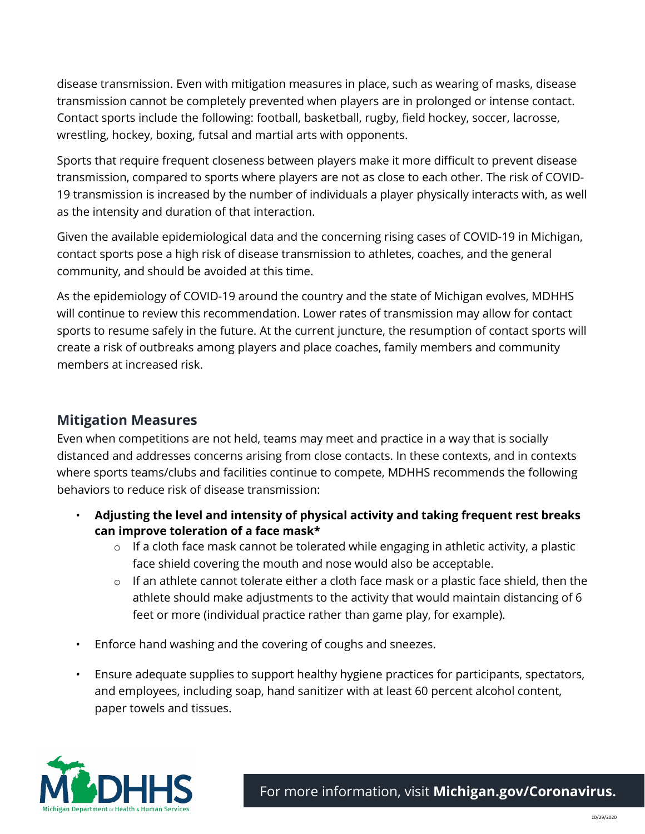disease transmission. Even with mitigation measures in place, such as wearing of masks, disease transmission cannot be completely prevented when players are in prolonged or intense contact. Contact sports include the following: football, basketball, rugby, field hockey, soccer, lacrosse, wrestling, hockey, boxing, futsal and martial arts with opponents.

Sports that require frequent closeness between players make it more difficult to prevent disease transmission, compared to sports where players are not as close to each other. The risk of COVID-19 transmission is increased by the number of individuals a player physically interacts with, as well as the intensity and duration of that interaction.

Given the available epidemiological data and the concerning rising cases of COVID-19 in Michigan, contact sports pose a high risk of disease transmission to athletes, coaches, and the general community, and should be avoided at this time.

As the epidemiology of COVID-19 around the country and the state of Michigan evolves, MDHHS will continue to review this recommendation. Lower rates of transmission may allow for contact sports to resume safely in the future. At the current juncture, the resumption of contact sports will create a risk of outbreaks among players and place coaches, family members and community members at increased risk.

## **Mitigation Measures**

Even when competitions are not held, teams may meet and practice in a way that is socially distanced and addresses concerns arising from close contacts. In these contexts, and in contexts where sports teams/clubs and facilities continue to compete, MDHHS recommends the following behaviors to reduce risk of disease transmission:

- **Adjusting the level and intensity of physical activity and taking frequent rest breaks can improve toleration of a face mask\***
	- $\circ$  If a cloth face mask cannot be tolerated while engaging in athletic activity, a plastic face shield covering the mouth and nose would also be acceptable.
	- $\circ$  If an athlete cannot tolerate either a cloth face mask or a plastic face shield, then the athlete should make adjustments to the activity that would maintain distancing of 6 feet or more (individual practice rather than game play, for example).
- Enforce hand washing and the covering of coughs and sneezes.
- Ensure adequate supplies to support healthy hygiene practices for participants, spectators, and employees, including soap, hand sanitizer with at least 60 percent alcohol content, paper towels and tissues.

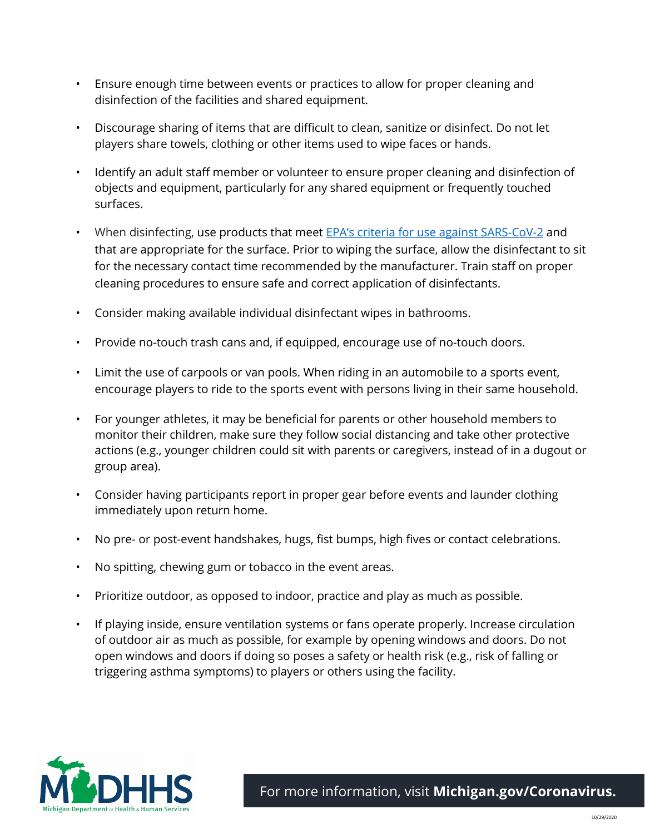- Ensure enough time between events or practices to allow for proper cleaning and disinfection of the facilities and shared equipment.
- Discourage sharing of items that are difficult to clean, sanitize or disinfect. Do not let players share towels, clothing or other items used to wipe faces or hands.
- Identify an adult staff member or volunteer to ensure proper cleaning and disinfection of objects and equipment, particularly for any shared equipment or frequently touched surfaces.
- When disinfecting, use products that meet **EPA's criteria for use against SARS-CoV-2** and that are appropriate for the surface. Prior to wiping the surface, allow the disinfectant to sit for the necessary contact time recommended by the manufacturer. Train staff on proper cleaning procedures to ensure safe and correct application of disinfectants.
- Consider making available individual disinfectant wipes in bathrooms.
- Provide no-touch trash cans and, if equipped, encourage use of no-touch doors.
- Limit the use of carpools or van pools. When riding in an automobile to a sports event, encourage players to ride to the sports event with persons living in their same household.
- For younger athletes, it may be beneficial for parents or other household members to monitor their children, make sure they follow social distancing and take other protective actions (e.g., younger children could sit with parents or caregivers, instead of in a dugout or group area).
- Consider having participants report in proper gear before events and launder clothing immediately upon return home.
- No pre- or post-event handshakes, hugs, fist bumps, high fives or contact celebrations.
- No spitting, chewing gum or tobacco in the event areas.
- Prioritize outdoor, as opposed to indoor, practice and play as much as possible.
- If playing inside, ensure ventilation systems or fans operate properly. Increase circulation of outdoor air as much as possible, for example by opening windows and doors. Do not open windows and doors if doing so poses a safety or health risk (e.g., risk of falling or triggering asthma symptoms) to players or others using the facility.